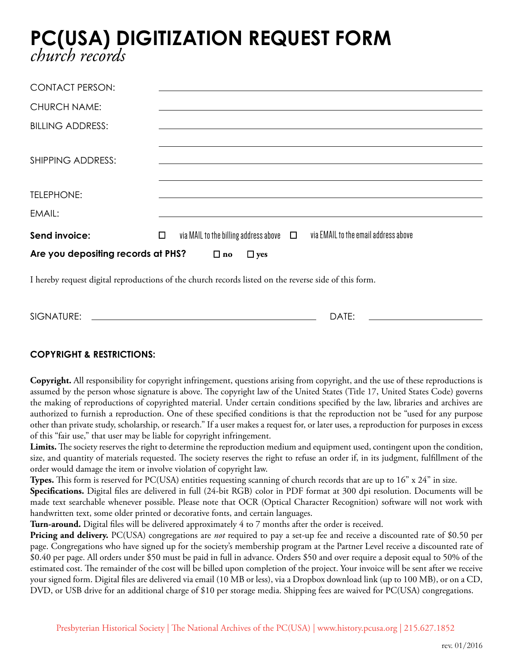## **PC(USA) DIGITIZATION REQUEST FORM** *church records*

| <b>CONTACT PERSON:</b>                                                                                |                                                                                             |  |  |
|-------------------------------------------------------------------------------------------------------|---------------------------------------------------------------------------------------------|--|--|
| <b>CHURCH NAME:</b>                                                                                   |                                                                                             |  |  |
| <b>BILLING ADDRESS:</b>                                                                               |                                                                                             |  |  |
| <b>SHIPPING ADDRESS:</b>                                                                              |                                                                                             |  |  |
|                                                                                                       |                                                                                             |  |  |
| TELEPHONE:                                                                                            |                                                                                             |  |  |
| EMAIL:                                                                                                |                                                                                             |  |  |
| Send invoice:                                                                                         | via MAIL to the billing address above $\Box$ via EMAIL to the email address above<br>$\Box$ |  |  |
| Are you depositing records at PHS?<br>$\Box$ no<br>$\Box$ yes                                         |                                                                                             |  |  |
| I hereby request digital reproductions of the church records listed on the reverse side of this form. |                                                                                             |  |  |

## **COPYRIGHT & RESTRICTIONS:**

**Copyright.** All responsibility for copyright infringement, questions arising from copyright, and the use of these reproductions is assumed by the person whose signature is above. The copyright law of the United States (Title 17, United States Code) governs the making of reproductions of copyrighted material. Under certain conditions specified by the law, libraries and archives are authorized to furnish a reproduction. One of these specified conditions is that the reproduction not be "used for any purpose other than private study, scholarship, or research." If a user makes a request for, or later uses, a reproduction for purposes in excess of this "fair use," that user may be liable for copyright infringement.

**Limits.** The society reserves the right to determine the reproduction medium and equipment used, contingent upon the condition, size, and quantity of materials requested. The society reserves the right to refuse an order if, in its judgment, fulfillment of the order would damage the item or involve violation of copyright law.

**Types.** This form is reserved for PC(USA) entities requesting scanning of church records that are up to 16" x 24" in size. **Specifications.** Digital files are delivered in full (24-bit RGB) color in PDF format at 300 dpi resolution. Documents will be made text searchable whenever possible. Please note that OCR (Optical Character Recognition) software will not work with handwritten text, some older printed or decorative fonts, and certain languages.

**Turn-around.** Digital files will be delivered approximately 4 to 7 months after the order is received.

SIGNATURE: DATE:

**Pricing and delivery.** PC(USA) congregations are *not* required to pay a set-up fee and receive a discounted rate of \$0.50 per page. Congregations who have signed up for the society's membership program at the Partner Level receive a discounted rate of \$0.40 per page. All orders under \$50 must be paid in full in advance. Orders \$50 and over require a deposit equal to 50% of the estimated cost. The remainder of the cost will be billed upon completion of the project. Your invoice will be sent after we receive your signed form. Digital files are delivered via email (10 MB or less), via a Dropbox download link (up to 100 MB), or on a CD, DVD, or USB drive for an additional charge of \$10 per storage media. Shipping fees are waived for PC(USA) congregations.